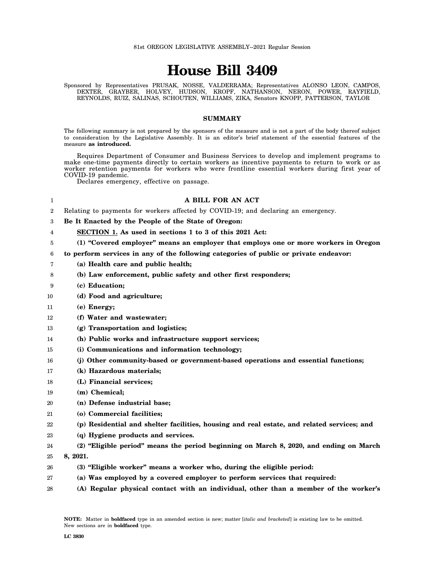# **House Bill 3409**

Sponsored by Representatives PRUSAK, NOSSE, VALDERRAMA; Representatives ALONSO LEON, CAMPOS, DEXTER, GRAYBER, HOLVEY, HUDSON, KROPF, NATHANSON, NERON, POWER, RAYFIELD, REYNOLDS, RUIZ, SALINAS, SCHOUTEN, WILLIAMS, ZIKA, Senators KNOPP, PATTERSON, TAYLOR

# **SUMMARY**

The following summary is not prepared by the sponsors of the measure and is not a part of the body thereof subject to consideration by the Legislative Assembly. It is an editor's brief statement of the essential features of the measure **as introduced.**

Requires Department of Consumer and Business Services to develop and implement programs to make one-time payments directly to certain workers as incentive payments to return to work or as worker retention payments for workers who were frontline essential workers during first year of COVID-19 pandemic.

Declares emergency, effective on passage.

#### 1 2 3 4 5 6 7 8 9 10 11 12 13 14 15 16 17 18 19  $20$ 21 22 23 24 25 26 27 28 **A BILL FOR AN ACT** Relating to payments for workers affected by COVID-19; and declaring an emergency. **Be It Enacted by the People of the State of Oregon: SECTION 1. As used in sections 1 to 3 of this 2021 Act: (1) "Covered employer" means an employer that employs one or more workers in Oregon to perform services in any of the following categories of public or private endeavor: (a) Health care and public health; (b) Law enforcement, public safety and other first responders; (c) Education; (d) Food and agriculture; (e) Energy; (f) Water and wastewater; (g) Transportation and logistics; (h) Public works and infrastructure support services; (i) Communications and information technology; (j) Other community-based or government-based operations and essential functions; (k) Hazardous materials; (L) Financial services; (m) Chemical; (n) Defense industrial base; (o) Commercial facilities; (p) Residential and shelter facilities, housing and real estate, and related services; and (q) Hygiene products and services. (2) "Eligible period" means the period beginning on March 8, 2020, and ending on March 8, 2021. (3) "Eligible worker" means a worker who, during the eligible period: (a) Was employed by a covered employer to perform services that required: (A) Regular physical contact with an individual, other than a member of the worker's**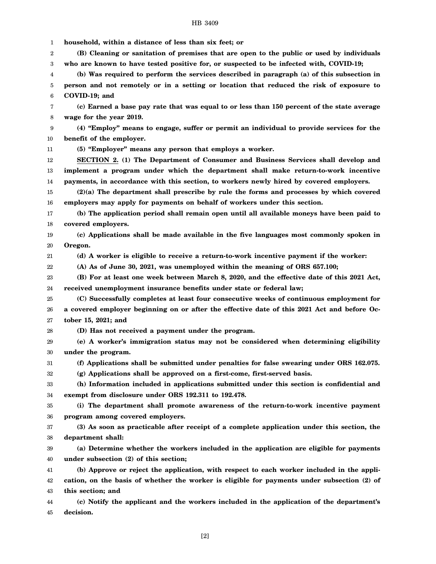#### HB 3409

1 2 3 4 5 6 7 8 9 10 11 12 13 14 15 16 17 18 19 20 21 22 23 24 25 26 27 28 29 30 31 32 33 34 35 36 37 38 39 40 41 42 43 44 45 **household, within a distance of less than six feet; or (B) Cleaning or sanitation of premises that are open to the public or used by individuals who are known to have tested positive for, or suspected to be infected with, COVID-19; (b) Was required to perform the services described in paragraph (a) of this subsection in person and not remotely or in a setting or location that reduced the risk of exposure to COVID-19; and (c) Earned a base pay rate that was equal to or less than 150 percent of the state average wage for the year 2019. (4) "Employ" means to engage, suffer or permit an individual to provide services for the benefit of the employer. (5) "Employer" means any person that employs a worker. SECTION 2. (1) The Department of Consumer and Business Services shall develop and implement a program under which the department shall make return-to-work incentive payments, in accordance with this section, to workers newly hired by covered employers. (2)(a) The department shall prescribe by rule the forms and processes by which covered employers may apply for payments on behalf of workers under this section. (b) The application period shall remain open until all available moneys have been paid to covered employers. (c) Applications shall be made available in the five languages most commonly spoken in Oregon. (d) A worker is eligible to receive a return-to-work incentive payment if the worker: (A) As of June 30, 2021, was unemployed within the meaning of ORS 657.100; (B) For at least one week between March 8, 2020, and the effective date of this 2021 Act, received unemployment insurance benefits under state or federal law; (C) Successfully completes at least four consecutive weeks of continuous employment for a covered employer beginning on or after the effective date of this 2021 Act and before October 15, 2021; and (D) Has not received a payment under the program. (e) A worker's immigration status may not be considered when determining eligibility under the program. (f) Applications shall be submitted under penalties for false swearing under ORS 162.075. (g) Applications shall be approved on a first-come, first-served basis. (h) Information included in applications submitted under this section is confidential and exempt from disclosure under ORS 192.311 to 192.478. (i) The department shall promote awareness of the return-to-work incentive payment program among covered employers. (3) As soon as practicable after receipt of a complete application under this section, the department shall: (a) Determine whether the workers included in the application are eligible for payments under subsection (2) of this section; (b) Approve or reject the application, with respect to each worker included in the application, on the basis of whether the worker is eligible for payments under subsection (2) of this section; and (c) Notify the applicant and the workers included in the application of the department's decision.**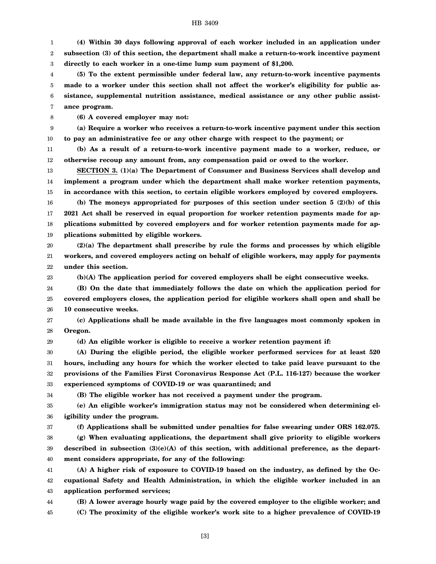## HB 3409

1 2 3 **(4) Within 30 days following approval of each worker included in an application under subsection (3) of this section, the department shall make a return-to-work incentive payment directly to each worker in a one-time lump sum payment of \$1,200.**

4 5 6 7 **(5) To the extent permissible under federal law, any return-to-work incentive payments made to a worker under this section shall not affect the worker's eligibility for public assistance, supplemental nutrition assistance, medical assistance or any other public assistance program.**

8 **(6) A covered employer may not:**

9 10 **(a) Require a worker who receives a return-to-work incentive payment under this section to pay an administrative fee or any other charge with respect to the payment; or**

11 12 **(b) As a result of a return-to-work incentive payment made to a worker, reduce, or otherwise recoup any amount from, any compensation paid or owed to the worker.**

13 14 15 **SECTION 3. (1)(a) The Department of Consumer and Business Services shall develop and implement a program under which the department shall make worker retention payments, in accordance with this section, to certain eligible workers employed by covered employers.**

16 17 18 19 **(b) The moneys appropriated for purposes of this section under section 5 (2)(b) of this 2021 Act shall be reserved in equal proportion for worker retention payments made for applications submitted by covered employers and for worker retention payments made for applications submitted by eligible workers.**

20 21 22 **(2)(a) The department shall prescribe by rule the forms and processes by which eligible workers, and covered employers acting on behalf of eligible workers, may apply for payments under this section.**

**(b)(A) The application period for covered employers shall be eight consecutive weeks.**

24 25 26 **(B) On the date that immediately follows the date on which the application period for covered employers closes, the application period for eligible workers shall open and shall be 10 consecutive weeks.**

27 28 **(c) Applications shall be made available in the five languages most commonly spoken in Oregon.**

**(d) An eligible worker is eligible to receive a worker retention payment if:**

30 31 32 33 **(A) During the eligible period, the eligible worker performed services for at least 520 hours, including any hours for which the worker elected to take paid leave pursuant to the provisions of the Families First Coronavirus Response Act (P.L. 116-127) because the worker experienced symptoms of COVID-19 or was quarantined; and**

34

23

29

**(B) The eligible worker has not received a payment under the program.**

35 36 **(e) An eligible worker's immigration status may not be considered when determining eligibility under the program.**

37

**(f) Applications shall be submitted under penalties for false swearing under ORS 162.075.**

38 39 40 **(g) When evaluating applications, the department shall give priority to eligible workers described in subsection (3)(e)(A) of this section, with additional preference, as the department considers appropriate, for any of the following:**

41 42 43 **(A) A higher risk of exposure to COVID-19 based on the industry, as defined by the Occupational Safety and Health Administration, in which the eligible worker included in an application performed services;**

44 45 **(B) A lower average hourly wage paid by the covered employer to the eligible worker; and (C) The proximity of the eligible worker's work site to a higher prevalence of COVID-19**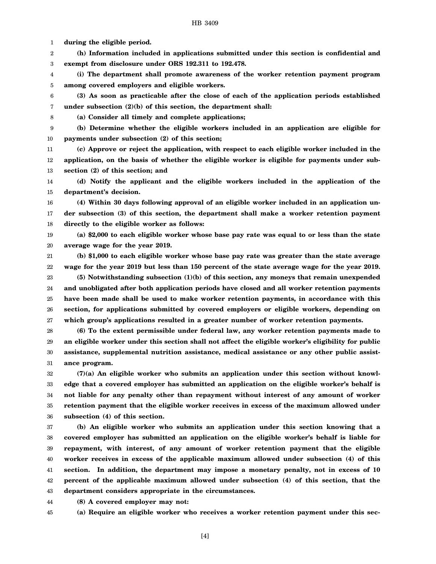1 **during the eligible period.**

2 3 **(h) Information included in applications submitted under this section is confidential and exempt from disclosure under ORS 192.311 to 192.478.**

4 5 **(i) The department shall promote awareness of the worker retention payment program among covered employers and eligible workers.**

6 7 **(3) As soon as practicable after the close of each of the application periods established under subsection (2)(b) of this section, the department shall:**

8

**(a) Consider all timely and complete applications;**

9 10 **(b) Determine whether the eligible workers included in an application are eligible for payments under subsection (2) of this section;**

11 12 13 **(c) Approve or reject the application, with respect to each eligible worker included in the application, on the basis of whether the eligible worker is eligible for payments under subsection (2) of this section; and**

14 15 **(d) Notify the applicant and the eligible workers included in the application of the department's decision.**

16 17 18 **(4) Within 30 days following approval of an eligible worker included in an application under subsection (3) of this section, the department shall make a worker retention payment directly to the eligible worker as follows:**

19 20 **(a) \$2,000 to each eligible worker whose base pay rate was equal to or less than the state average wage for the year 2019.**

21 22 **(b) \$1,000 to each eligible worker whose base pay rate was greater than the state average wage for the year 2019 but less than 150 percent of the state average wage for the year 2019.**

23 24 25 26 27 **(5) Notwithstanding subsection (1)(b) of this section, any moneys that remain unexpended and unobligated after both application periods have closed and all worker retention payments have been made shall be used to make worker retention payments, in accordance with this section, for applications submitted by covered employers or eligible workers, depending on which group's applications resulted in a greater number of worker retention payments.**

28 29 30 31 **(6) To the extent permissible under federal law, any worker retention payments made to an eligible worker under this section shall not affect the eligible worker's eligibility for public assistance, supplemental nutrition assistance, medical assistance or any other public assistance program.**

32 33 34 35 36 **(7)(a) An eligible worker who submits an application under this section without knowledge that a covered employer has submitted an application on the eligible worker's behalf is not liable for any penalty other than repayment without interest of any amount of worker retention payment that the eligible worker receives in excess of the maximum allowed under subsection (4) of this section.**

37 38 39 40 41 42 43 **(b) An eligible worker who submits an application under this section knowing that a covered employer has submitted an application on the eligible worker's behalf is liable for repayment, with interest, of any amount of worker retention payment that the eligible worker receives in excess of the applicable maximum allowed under subsection (4) of this section. In addition, the department may impose a monetary penalty, not in excess of 10 percent of the applicable maximum allowed under subsection (4) of this section, that the department considers appropriate in the circumstances.**

44 **(8) A covered employer may not:**

45 **(a) Require an eligible worker who receives a worker retention payment under this sec-**